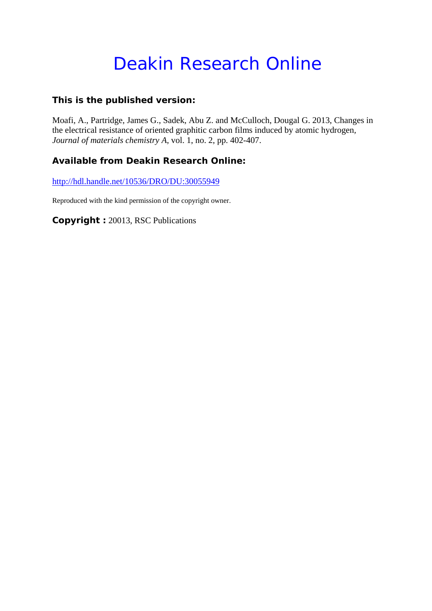# Deakin Research Online

### **This is the published version:**

Moafi, A., Partridge, James G., Sadek, Abu Z. and McCulloch, Dougal G. 2013, Changes in the electrical resistance of oriented graphitic carbon films induced by atomic hydrogen*, Journal of materials chemistry A*, vol. 1, no. 2, pp. 402-407.

### **Available from Deakin Research Online:**

http://hdl.handle.net/10536/DRO/DU:30055949

Reproduced with the kind permission of the copyright owner.

**Copyright :** 20013, RSC Publications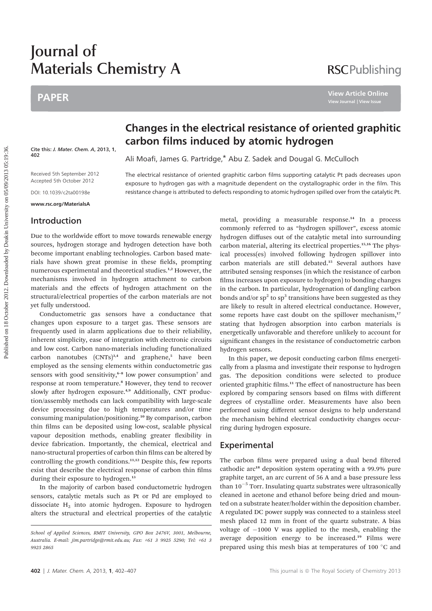## Journal of Materials Chemistry A

### PAPER

### **RSCPublishing**

**View Article Online**

Cite this: J. Mater. Chem. A, 2013, 1, 402

Received 5th September 2012 Accepted 5th October 2012

DOI: 10.1039/c2ta00198e

www.rsc.org/MaterialsA

### Introduction

Due to the worldwide effort to move towards renewable energy sources, hydrogen storage and hydrogen detection have both become important enabling technologies. Carbon based materials have shown great promise in these fields, prompting numerous experimental and theoretical studies.<sup>1,2</sup> However, the mechanisms involved in hydrogen attachment to carbon materials and the effects of hydrogen attachment on the structural/electrical properties of the carbon materials are not yet fully understood.

Conductometric gas sensors have a conductance that changes upon exposure to a target gas. These sensors are frequently used in alarm applications due to their reliability, inherent simplicity, ease of integration with electronic circuits and low cost. Carbon nano-materials including functionalized carbon nanotubes  $(CNTs)$ <sup>3,4</sup> and graphene,<sup>5</sup> have been employed as the sensing elements within conductometric gas sensors with good sensitivity,<sup>6-8</sup> low power consumption<sup>7</sup> and response at room temperature.<sup>8</sup> However, they tend to recover slowly after hydrogen exposure.<sup>4,9</sup> Additionally, CNT production/assembly methods can lack compatibility with large-scale device processing due to high temperatures and/or time consuming manipulation/positioning.<sup>10</sup> By comparison, carbon thin films can be deposited using low-cost, scalable physical vapour deposition methods, enabling greater flexibility in device fabrication. Importantly, the chemical, electrical and nano-structural properties of carbon thin films can be altered by controlling the growth conditions.<sup>11,12</sup> Despite this, few reports exist that describe the electrical response of carbon thin films during their exposure to hydrogen.<sup>13</sup>

In the majority of carbon based conductometric hydrogen sensors, catalytic metals such as Pt or Pd are employed to dissociate  $H_2$  into atomic hydrogen. Exposure to hydrogen alters the structural and electrical properties of the catalytic

### Changes in the electrical resistance of oriented graphitic carbon films induced by atomic hydrogen

Ali Moafi, James G. Partridge,\* Abu Z. Sadek and Dougal G. McCulloch

The electrical resistance of oriented graphitic carbon films supporting catalytic Pt pads decreases upon exposure to hydrogen gas with a magnitude dependent on the crystallographic order in the film. This resistance change is attributed to defects responding to atomic hydrogen spilled over from the catalytic Pt.

> metal, providing a measurable response.<sup>14</sup> In a process commonly referred to as "hydrogen spillover", excess atomic hydrogen diffuses out of the catalytic metal into surrounding carbon material, altering its electrical properties.<sup>15,16</sup> The physical process(es) involved following hydrogen spillover into carbon materials are still debated.<sup>15</sup> Several authors have attributed sensing responses (in which the resistance of carbon films increases upon exposure to hydrogen) to bonding changes in the carbon. In particular, hydrogenation of dangling carbon bonds and/or  $sp^2$  to  $sp^3$  transitions have been suggested as they are likely to result in altered electrical conductance. However, some reports have cast doubt on the spillover mechanism,<sup>17</sup> stating that hydrogen absorption into carbon materials is energetically unfavorable and therefore unlikely to account for significant changes in the resistance of conductometric carbon hydrogen sensors.

> In this paper, we deposit conducting carbon films energetically from a plasma and investigate their response to hydrogen gas. The deposition conditions were selected to produce oriented graphitic films.<sup>11</sup> The effect of nanostructure has been explored by comparing sensors based on films with different degrees of crystalline order. Measurements have also been performed using different sensor designs to help understand the mechanism behind electrical conductivity changes occurring during hydrogen exposure.

#### Experimental

The carbon films were prepared using a dual bend filtered cathodic arc<sup>18</sup> deposition system operating with a 99.9% pure graphite target, an arc current of 56 A and a base pressure less than 10<sup>-5</sup> Torr. Insulating quartz substrates were ultrasonically cleaned in acetone and ethanol before being dried and mounted on a substrate heater/holder within the deposition chamber. A regulated DC power supply was connected to a stainless steel mesh placed 12 mm in front of the quartz substrate. A bias voltage of -1000 V was applied to the mesh, enabling the average deposition energy to be increased.<sup>19</sup> Films were prepared using this mesh bias at temperatures of 100 $\degree$ C and

School of Applied Sciences, RMIT University, GPO Box 2476V, 3001, Melbourne, Australia. E-mail: jim.partridge@rmit.edu.au; Fax: +61 3 9925 5290; Tel: +61 3 9925 2865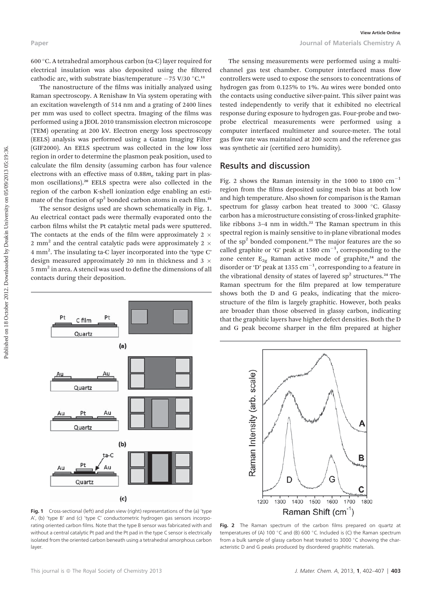600 C. A tetrahedral amorphous carbon (ta-C) layer required for electrical insulation was also deposited using the filtered cathodic arc, with substrate bias/temperature  $-75$  V/30  $^{\circ}$ C.<sup>11</sup>

The nanostructure of the films was initially analyzed using Raman spectroscopy. A Renishaw In Via system operating with an excitation wavelength of 514 nm and a grating of 2400 lines per mm was used to collect spectra. Imaging of the films was performed using a JEOL 2010 transmission electron microscope (TEM) operating at 200 kV. Electron energy loss spectroscopy (EELS) analysis was performed using a Gatan Imaging Filter (GIF2000). An EELS spectrum was collected in the low loss region in order to determine the plasmon peak position, used to calculate the film density (assuming carbon has four valence electrons with an effective mass of  $0.88m<sub>e</sub>$  taking part in plasmon oscillations).<sup>20</sup> EELS spectra were also collected in the region of the carbon K-shell ionization edge enabling an estimate of the fraction of  $sp^2$  bonded carbon atoms in each film.<sup>21</sup>

The sensor designs used are shown schematically in Fig. 1. Au electrical contact pads were thermally evaporated onto the carbon films whilst the Pt catalytic metal pads were sputtered. The contacts at the ends of the film were approximately 2  $\times$ 2 mm<sup>2</sup> and the central catalytic pads were approximately 2  $\times$ 4 mm<sup>2</sup>. The insulating ta-C layer incorporated into the 'type C' design measured approximately 20 nm in thickness and 3  $\times$  $5 \text{ mm}^2$  in area. A stencil was used to define the dimensions of all contacts during their deposition.



Fig. 1 Cross-sectional (left) and plan view (right) representations of the (a) 'type A', (b) 'type B' and (c) 'type C' conductometric hydrogen gas sensors incorporating oriented carbon films. Note that the type B sensor was fabricated with and without a central catalytic Pt pad and the Pt pad in the type C sensor is electrically isolated from the oriented carbon beneath using a tetrahedral amorphous carbon layer

The sensing measurements were performed using a multichannel gas test chamber. Computer interfaced mass flow controllers were used to expose the sensors to concentrations of hydrogen gas from 0.125% to 1%. Au wires were bonded onto the contacts using conductive silver-paint. This silver paint was tested independently to verify that it exhibited no electrical response during exposure to hydrogen gas. Four-probe and twoprobe electrical measurements were performed using a computer interfaced multimeter and source-meter. The total gas flow rate was maintained at 200 sccm and the reference gas was synthetic air (certified zero humidity).

#### Results and discussion

Fig. 2 shows the Raman intensity in the 1000 to 1800  $\text{cm}^{-1}$ region from the films deposited using mesh bias at both low and high temperature. Also shown for comparison is the Raman spectrum for glassy carbon heat treated to 3000 °C. Glassy carbon has a microstructure consisting of cross-linked graphitelike ribbons 3-4 nm in width.<sup>22</sup> The Raman spectrum in this spectral region is mainly sensitive to in-plane vibrational modes of the sp<sup>2</sup> bonded component.<sup>23</sup> The major features are the so called graphite or 'G' peak at 1580  $cm^{-1}$ , corresponding to the zone center  $E_{2g}$  Raman active mode of graphite,<sup>24</sup> and the disorder or 'D' peak at 1355  $cm^{-1}$ , corresponding to a feature in the vibrational density of states of layered sp<sup>2</sup> structures.<sup>24</sup> The Raman spectrum for the film prepared at low temperature shows both the D and G peaks, indicating that the microstructure of the film is largely graphitic. However, both peaks are broader than those observed in glassy carbon, indicating that the graphitic layers have higher defect densities. Both the D and G peak become sharper in the film prepared at higher



Fig. 2 The Raman spectrum of the carbon films prepared on quartz at temperatures of (A) 100 °C and (B) 600 °C. Included is (C) the Raman spectrum from a bulk sample of glassy carbon heat treated to 3000  $\degree$ C showing the characteristic D and G peaks produced by disordered graphitic materials.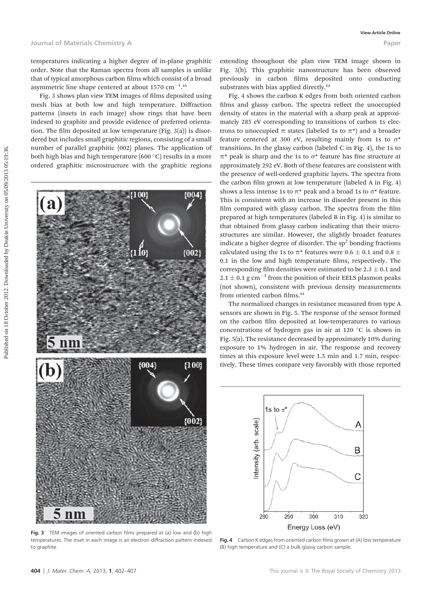temperatures indicating a higher degree of in-plane graphitic order. Note that the Raman spectra from all samples is unlike that of typical amorphous carbon films which consist of a broad asymmetric line shape centered at about 1570  $\text{cm}^{-1}$ .<sup>25</sup>

Fig. 3 shows plan view TEM images of films deposited using mesh bias at both low and high temperature. Diffraction patterns (insets in each image) show rings that have been indexed to graphite and provide evidence of preferred orientation. The film deposited at low temperature (Fig.  $3(a)$ ) is disordered but includes small graphitic regions, consisting of a small number of parallel graphitic {002} planes. The application of both high bias and high temperature (600 $\degree$ C) results in a more ordered graphitic microstructure with the graphitic regions



Fig. 3 TEM images of oriented carbon films prepared at (a) low and (b) high temperatures. The inset in each image is an electron diffraction pattern indexed to graphite.

extending throughout the plan view TEM image shown in Fig. 3(b). This graphitic nanostructure has been observed previously in carbon films deposited onto conducting substrates with bias applied directly.<sup>12</sup>

Fig. 4 shows the carbon K edges from both oriented carbon films and glassy carbon. The spectra reflect the unoccupied density of states in the material with a sharp peak at approximately 285 eV corresponding to transitions of carbon 1s electrons to unoccupied  $\pi$  states (labeled 1s to  $\pi^*$ ) and a broader feature centered at 300 eV, resulting mainly from 1s to  $\sigma^*$ transitions. In the glassy carbon (labeled C in Fig. 4), the 1s to  $\pi^*$  peak is sharp and the 1s to  $\sigma^*$  feature has fine structure at approximately 292 eV. Both of these features are consistent with the presence of well-ordered graphitic layers. The spectra from the carbon film grown at low temperature (labeled A in Fig. 4) shows a less intense 1s to  $\pi^*$  peak and a broad 1s to  $\sigma^*$  feature. This is consistent with an increase in disorder present in this film compared with glassy carbon. The spectra from the film prepared at high temperatures (labeled B in Fig. 4) is similar to that obtained from glassy carbon indicating that their microstructures are similar. However, the slightly broader features indicate a higher degree of disorder. The  $sp<sup>2</sup>$  bonding fractions calculated using the 1s to  $\pi^*$  features were 0.6  $\pm$  0.1 and 0.8  $\pm$  $0.1$  in the low and high temperature films, respectively. The corresponding film densities were estimated to be  $2.3 \pm 0.1$  and  $2.1 \pm 0.1$  g cm $^{-3}$  from the position of their EELS plasmon peaks (not shown), consistent with previous density measurements from oriented carbon films.<sup>12</sup>

The normalized changes in resistance measured from type A sensors are shown in Fig. 5. The response of the sensor formed on the carbon film deposited at low-temperatures to various concentrations of hydrogen gas in air at 120 $\degree$ C is shown in Fig. 5(a). The resistance decreased by approximately 10% during exposure to 1% hydrogen in air. The response and recovery times at this exposure level were 1.5 min and 1.7 min, respectively. These times compare very favorably with those reported



Fig. 4 Carbon K edges from oriented carbon films grown at (A) low temperature (B) high temperature and (C) a bulk glassy carbon sample.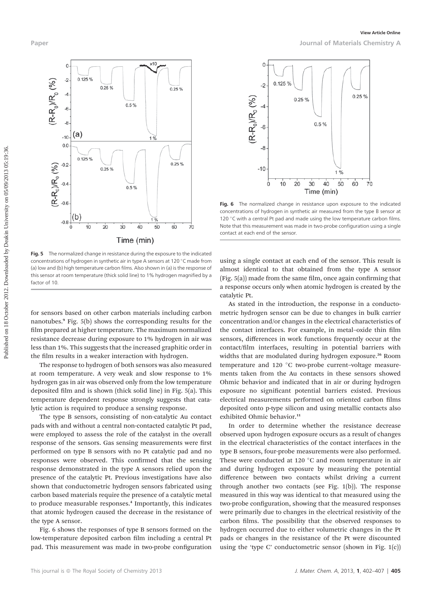

Fig. 5 The normalized change in resistance during the exposure to the indicated concentrations of hydrogen in synthetic air in type A sensors at 120 °C made from (a) low and (b) high temperature carbon films. Also shown in (a) is the response of this sensor at room temperature (thick solid line) to 1% hydrogen magnified by a factor of 10.

for sensors based on other carbon materials including carbon nanotubes.<sup>9</sup> Fig. 5(b) shows the corresponding results for the film prepared at higher temperature. The maximum normalized resistance decrease during exposure to 1% hydrogen in air was less than 1%. This suggests that the increased graphitic order in the film results in a weaker interaction with hydrogen.

The response to hydrogen of both sensors was also measured at room temperature. A very weak and slow response to 1% hydrogen gas in air was observed only from the low temperature deposited film and is shown (thick solid line) in Fig.  $5(a)$ . This temperature dependent response strongly suggests that catalytic action is required to produce a sensing response.

The type B sensors, consisting of non-catalytic Au contact pads with and without a central non-contacted catalytic Pt pad, were employed to assess the role of the catalyst in the overall response of the sensors. Gas sensing measurements were first performed on type B sensors with no Pt catalytic pad and no responses were observed. This confirmed that the sensing response demonstrated in the type A sensors relied upon the presence of the catalytic Pt. Previous investigations have also shown that conductometric hydrogen sensors fabricated using carbon based materials require the presence of a catalytic metal to produce measurable responses.<sup>4</sup> Importantly, this indicates that atomic hydrogen caused the decrease in the resistance of the type A sensor.

Fig. 6 shows the responses of type B sensors formed on the low-temperature deposited carbon film including a central Pt pad. This measurement was made in two-probe configuration



Fig. 6 The normalized change in resistance upon exposure to the indicated concentrations of hydrogen in synthetic air measured from the type B sensor at 120 °C with a central Pt pad and made using the low temperature carbon films. Note that this measurement was made in two-probe configuration using a single contact at each end of the sensor.

using a single contact at each end of the sensor. This result is almost identical to that obtained from the type A sensor  $(Fig. 5(a))$  made from the same film, once again confirming that a response occurs only when atomic hydrogen is created by the catalytic Pt.

As stated in the introduction, the response in a conductometric hydrogen sensor can be due to changes in bulk carrier concentration and/or changes in the electrical characteristics of the contact interfaces. For example, in metal-oxide thin film sensors, differences in work functions frequently occur at the contact/film interfaces, resulting in potential barriers with widths that are modulated during hydrogen exposure.<sup>26</sup> Room temperature and 120 °C two-probe current-voltage measurements taken from the Au contacts in these sensors showed Ohmic behavior and indicated that in air or during hydrogen exposure no signicant potential barriers existed. Previous electrical measurements performed on oriented carbon films deposited onto p-type silicon and using metallic contacts also exhibited Ohmic behavior.<sup>11</sup>

In order to determine whether the resistance decrease observed upon hydrogen exposure occurs as a result of changes in the electrical characteristics of the contact interfaces in the type B sensors, four-probe measurements were also performed. These were conducted at 120 $\degree$ C and room temperature in air and during hydrogen exposure by measuring the potential difference between two contacts whilst driving a current through another two contacts (see Fig. 1(b)). The response measured in this way was identical to that measured using the two-probe configuration, showing that the measured responses were primarily due to changes in the electrical resistivity of the carbon films. The possibility that the observed responses to hydrogen occurred due to either volumetric changes in the Pt pads or changes in the resistance of the Pt were discounted using the 'type C' conductometric sensor (shown in Fig. 1(c))

Paper Journal of Materials Chemistry A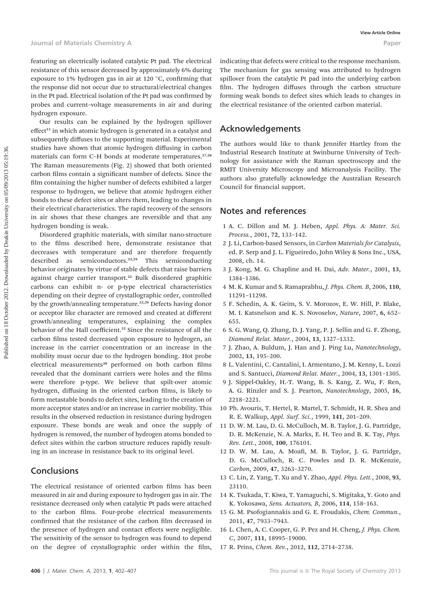featuring an electrically isolated catalytic Pt pad. The electrical resistance of this sensor decreased by approximately 6% during exposure to 1% hydrogen gas in air at 120 $\degree$ C, confirming that the response did not occur due to structural/electrical changes in the Pt pad. Electrical isolation of the Pt pad was confirmed by probes and current–voltage measurements in air and during hydrogen exposure.

Our results can be explained by the hydrogen spillover effect<sup>15</sup> in which atomic hydrogen is generated in a catalyst and subsequently diffuses to the supporting material. Experimental studies have shown that atomic hydrogen diffusing in carbon materials can form C–H bonds at moderate temperatures.<sup>27,28</sup> The Raman measurements (Fig. 2) showed that both oriented carbon films contain a significant number of defects. Since the film containing the higher number of defects exhibited a larger response to hydrogen, we believe that atomic hydrogen either bonds to these defect sites or alters them, leading to changes in their electrical characteristics. The rapid recovery of the sensors in air shows that these changes are reversible and that any hydrogen bonding is weak.

Disordered graphitic materials, with similar nano-structure to the films described here, demonstrate resistance that decreases with temperature and are therefore frequently described as semiconductors.<sup>22,29</sup> This semiconducting behavior originates by virtue of stable defects that raise barriers against charge carrier transport.<sup>22</sup> Bulk disordered graphitic carbons can exhibit n- or p-type electrical characteristics depending on their degree of crystallographic order, controlled by the growth/annealing temperature.<sup>22,29</sup> Defects having donor or acceptor like character are removed and created at different growth/annealing temperatures, explaining the complex behavior of the Hall coefficient.<sup>22</sup> Since the resistance of all the carbon films tested decreased upon exposure to hydrogen, an increase in the carrier concentration or an increase in the mobility must occur due to the hydrogen bonding. Hot probe electrical measurements<sup>30</sup> performed on both carbon films revealed that the dominant carriers were holes and the films were therefore p-type. We believe that spilt-over atomic hydrogen, diffusing in the oriented carbon films, is likely to form metastable bonds to defect sites, leading to the creation of more acceptor states and/or an increase in carrier mobility. This results in the observed reduction in resistance during hydrogen exposure. These bonds are weak and once the supply of hydrogen is removed, the number of hydrogen atoms bonded to defect sites within the carbon structure reduces rapidly resulting in an increase in resistance back to its original level.

#### **Conclusions**

The electrical resistance of oriented carbon films has been measured in air and during exposure to hydrogen gas in air. The resistance decreased only when catalytic Pt pads were attached to the carbon films. Four-probe electrical measurements confirmed that the resistance of the carbon film decreased in the presence of hydrogen and contact effects were negligible. The sensitivity of the sensor to hydrogen was found to depend on the degree of crystallographic order within the film, indicating that defects were critical to the response mechanism. The mechanism for gas sensing was attributed to hydrogen spillover from the catalytic Pt pad into the underlying carbon film. The hydrogen diffuses through the carbon structure forming weak bonds to defect sites which leads to changes in the electrical resistance of the oriented carbon material.

### Acknowledgements

The authors would like to thank Jennifer Hartley from the Industrial Research Institute at Swinburne University of Technology for assistance with the Raman spectroscopy and the RMIT University Microscopy and Microanalysis Facility. The authors also gratefully acknowledge the Australian Research Council for financial support.

#### Notes and references

- 1 A. C. Dillon and M. J. Heben, Appl. Phys. A: Mater. Sci. Process., 2001, 72, 133–142.
- 2 J. Li, Carbon-based Sensors, in Carbon Materials for Catalysis, ed. P. Serp and J. L. Figueiredo, John Wiley & Sons Inc., USA, 2008, ch. 14.
- 3 J. Kong, M. G. Chapline and H. Dai, Adv. Mater., 2001, 13, 1384–1386.
- 4 M. K. Kumar and S. Ramaprabhu, J. Phys. Chem. B, 2006, 110, 11291–11298.
- 5 F. Schedin, A. K. Geim, S. V. Morozov, E. W. Hill, P. Blake, M. I. Katsnelson and K. S. Novoselov, Nature, 2007, 6, 652– 655.
- 6 S. G. Wang, Q. Zhang, D. J. Yang, P. J. Sellin and G. F. Zhong, Diamond Relat. Mater., 2004, 13, 1327–1332.
- 7 J. Zhao, A. Buldum, J. Han and J. Ping Lu, Nanotechnology, 2002, 13, 195–200.
- 8 L. Valentini, C. Cantalini, I. Armentano, J. M. Kenny, L. Lozzi and S. Santucci, Diamond Relat. Mater., 2004, 13, 1301–1305.
- 9 J. Sippel-Oakley, H.-T. Wang, B. S. Kang, Z. Wu, F. Ren, A. G. Rinzler and S. J. Pearton, Nanotechnology, 2005, 16, 2218–2221.
- 10 Ph. Avouris, T. Hertel, R. Martel, T. Schmidt, H. R. Shea and R. E. Walkup, Appl. Surf. Sci., 1999, 141, 201–209.
- 11 D. W. M. Lau, D. G. McCulloch, M. B. Taylor, J. G. Partridge, D. R. McKenzie, N. A. Marks, E. H. Teo and B. K. Tay, Phys. Rev. Lett., 2008, 100, 176101.
- 12 D. W. M. Lau, A. Moafi, M. B. Taylor, J. G. Partridge, D. G. McCulloch, R. C. Powles and D. R. McKenzie, Carbon, 2009, 47, 3263–3270.
- 13 C. Lin, Z. Yang, T. Xu and Y. Zhao, Appl. Phys. Lett., 2008, 93, 23110.
- 14 K. Tsukada, T. Kiwa, T. Yamaguchi, S. Migitaka, Y. Goto and K. Yokosawa, Sens. Actuators, B, 2006, 114, 158–163.
- 15 G. M. Psofogiannakis and G. E. Froudakis, Chem. Commun., 2011, 47, 7933–7943.
- 16 L. Chen, A. C. Cooper, G. P. Pez and H. Cheng, J. Phys. Chem. C, 2007, 111, 18995–19000.
- 17 R. Prins, Chem. Rev., 2012, 112, 2714–2738.